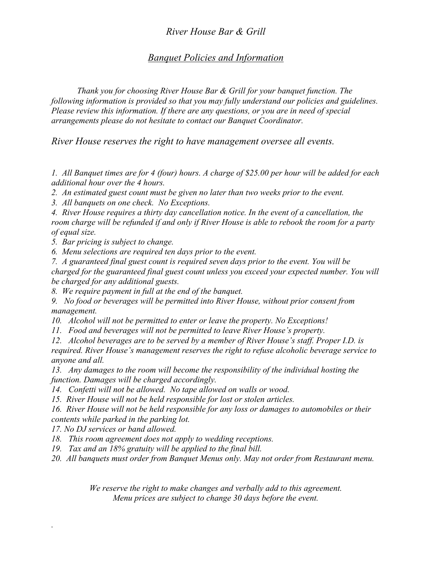### *River House Bar & Grill*

#### *Banquet Policies and Information*

*Thank you for choosing River House Bar & Grill for your banquet function. The following information is provided so that you may fully understand our policies and guidelines. Please review this information. If there are any questions, or you are in need of special arrangements please do not hesitate to contact our Banquet Coordinator.*

*River House reserves the right to have management oversee all events.*

*1. All Banquet times are for 4 (four) hours. A charge of \$25.00 per hour will be added for each additional hour over the 4 hours.*

*2. An estimated guest count must be given no later than two weeks prior to the event.*

*3. All banquets on one check. No Exceptions.*

*4. River House requires a thirty day cancellation notice. In the event of a cancellation, the room charge will be refunded if and only if River House is able to rebook the room for a party of equal size.*

*5. Bar pricing is subject to change.*

*6. Menu selections are required ten days prior to the event.*

*7. A guaranteed final guest count is required seven days prior to the event. You will be charged for the guaranteed final guest count unless you exceed your expected number. You will be charged for any additional guests.*

*8. We require payment in full at the end of the banquet.*

*9. No food or beverages will be permitted into River House, without prior consent from management.*

*10. Alcohol will not be permitted to enter or leave the property. No Exceptions!*

*11. Food and beverages will not be permitted to leave River House's property.*

*12. Alcohol beverages are to be served by a member of River House's staff. Proper I.D. is* 

*required. River House's management reserves the right to refuse alcoholic beverage service to anyone and all.*

*13. Any damages to the room will become the responsibility of the individual hosting the function. Damages will be charged accordingly.*

*14. Confetti will not be allowed. No tape allowed on walls or wood.*

*15. River House will not be held responsible for lost or stolen articles.*

*16. River House will not be held responsible for any loss or damages to automobiles or their contents while parked in the parking lot.*

*17. No DJ services or band allowed.*

*.*

*18. This room agreement does not apply to wedding receptions.*

*19. Tax and an 18% gratuity will be applied to the final bill.*

*20. All banquets must order from Banquet Menus only. May not order from Restaurant menu.*

*We reserve the right to make changes and verbally add to this agreement. Menu prices are subject to change 30 days before the event.*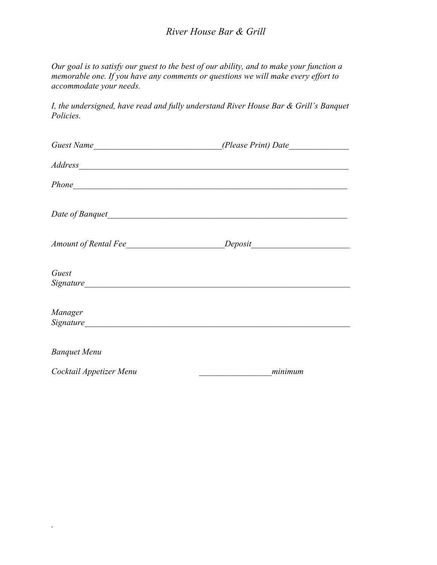### *River House Bar & Grill*

*Our goal is to satisfy our guest to the best of our ability, and to make your function a memorable one. If you have any comments or questions we will make every effort to accommodate your needs.*

*I, the undersigned, have read and fully understand River House Bar & Grill's Banquet Policies.*

| Guest Name              |                                                                                                                                                                                                                                |  |
|-------------------------|--------------------------------------------------------------------------------------------------------------------------------------------------------------------------------------------------------------------------------|--|
|                         | Address and the set of the set of the set of the set of the set of the set of the set of the set of the set of the set of the set of the set of the set of the set of the set of the set of the set of the set of the set of t |  |
|                         |                                                                                                                                                                                                                                |  |
|                         | Date of Banquet                                                                                                                                                                                                                |  |
|                         |                                                                                                                                                                                                                                |  |
| Guest                   |                                                                                                                                                                                                                                |  |
| Manager                 |                                                                                                                                                                                                                                |  |
| <b>Banquet Menu</b>     |                                                                                                                                                                                                                                |  |
| Cocktail Appetizer Menu | minimum                                                                                                                                                                                                                        |  |

*.*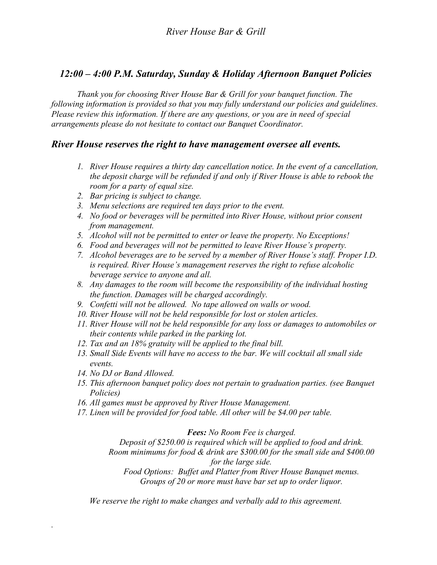## *12:00 – 4:00 P.M. Saturday, Sunday & Holiday Afternoon Banquet Policies*

*Thank you for choosing River House Bar & Grill for your banquet function. The following information is provided so that you may fully understand our policies and guidelines. Please review this information. If there are any questions, or you are in need of special arrangements please do not hesitate to contact our Banquet Coordinator.*

#### *River House reserves the right to have management oversee all events.*

- *1. River House requires a thirty day cancellation notice. In the event of a cancellation, the deposit charge will be refunded if and only if River House is able to rebook the room for a party of equal size.*
- *2. Bar pricing is subject to change.*
- *3. Menu selections are required ten days prior to the event.*
- *4. No food or beverages will be permitted into River House, without prior consent from management.*
- *5. Alcohol will not be permitted to enter or leave the property. No Exceptions!*
- *6. Food and beverages will not be permitted to leave River House's property.*
- *7. Alcohol beverages are to be served by a member of River House's staff. Proper I.D. is required. River House's management reserves the right to refuse alcoholic beverage service to anyone and all.*
- *8. Any damages to the room will become the responsibility of the individual hosting the function. Damages will be charged accordingly.*
- *9. Confetti will not be allowed. No tape allowed on walls or wood.*
- *10. River House will not be held responsible for lost or stolen articles.*
- *11. River House will not be held responsible for any loss or damages to automobiles or their contents while parked in the parking lot.*
- *12. Tax and an 18% gratuity will be applied to the final bill.*
- *13. Small Side Events will have no access to the bar. We will cocktail all small side events.*
- *14. No DJ or Band Allowed.*

*.*

- *15. This afternoon banquet policy does not pertain to graduation parties. (see Banquet Policies)*
- *16. All games must be approved by River House Management.*
- *17. Linen will be provided for food table. All other will be \$4.00 per table.*

*Fees: No Room Fee is charged.*

*Deposit of \$250.00 is required which will be applied to food and drink.*

*Room minimums for food & drink are \$300.00 for the small side and \$400.00 for the large side.*

*Food Options: Buffet and Platter from River House Banquet menus. Groups of 20 or more must have bar set up to order liquor.*

*We reserve the right to make changes and verbally add to this agreement.*